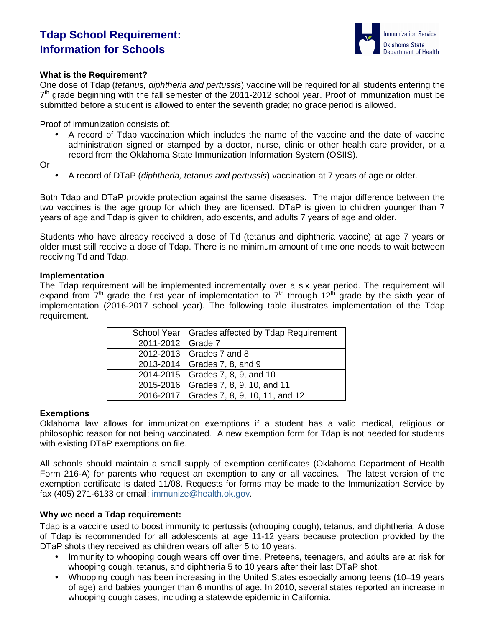# **Tdap School Requirement: Information for Schools**



## **What is the Requirement?**

One dose of Tdap (tetanus, diphtheria and pertussis) vaccine will be required for all students entering the  $7<sup>th</sup>$  grade beginning with the fall semester of the 2011-2012 school year. Proof of immunization must be submitted before a student is allowed to enter the seventh grade; no grace period is allowed.

Proof of immunization consists of:

• A record of Tdap vaccination which includes the name of the vaccine and the date of vaccine administration signed or stamped by a doctor, nurse, clinic or other health care provider, or a record from the Oklahoma State Immunization Information System (OSIIS).

Or

• A record of DTaP (diphtheria, tetanus and pertussis) vaccination at 7 years of age or older.

Both Tdap and DTaP provide protection against the same diseases. The major difference between the two vaccines is the age group for which they are licensed. DTaP is given to children younger than 7 years of age and Tdap is given to children, adolescents, and adults 7 years of age and older.

Students who have already received a dose of Td (tetanus and diphtheria vaccine) at age 7 years or older must still receive a dose of Tdap. There is no minimum amount of time one needs to wait between receiving Td and Tdap.

#### **Implementation**

The Tdap requirement will be implemented incrementally over a six year period. The requirement will expand from  $7<sup>th</sup>$  grade the first year of implementation to  $7<sup>th</sup>$  through 12<sup>th</sup> grade by the sixth year of implementation (2016-2017 school year). The following table illustrates implementation of the Tdap requirement.

|                     | School Year   Grades affected by Tdap Requirement |
|---------------------|---------------------------------------------------|
| 2011-2012   Grade 7 |                                                   |
|                     | 2012-2013   Grades 7 and 8                        |
|                     | 2013-2014   Grades 7, 8, and 9                    |
|                     | 2014-2015   Grades 7, 8, 9, and 10                |
|                     | 2015-2016   Grades 7, 8, 9, 10, and 11            |
|                     | 2016-2017   Grades 7, 8, 9, 10, 11, and 12        |

#### **Exemptions**

Oklahoma law allows for immunization exemptions if a student has a valid medical, religious or philosophic reason for not being vaccinated. A new exemption form for Tdap is not needed for students with existing DTaP exemptions on file.

All schools should maintain a small supply of exemption certificates (Oklahoma Department of Health Form 216-A) for parents who request an exemption to any or all vaccines. The latest version of the exemption certificate is dated 11/08. Requests for forms may be made to the Immunization Service by fax (405) 271-6133 or email: immunize@health.ok.gov.

#### **Why we need a Tdap requirement:**

Tdap is a vaccine used to boost immunity to pertussis (whooping cough), tetanus, and diphtheria. A dose of Tdap is recommended for all adolescents at age 11-12 years because protection provided by the DTaP shots they received as children wears off after 5 to 10 years.

- Immunity to whooping cough wears off over time. Preteens, teenagers, and adults are at risk for whooping cough, tetanus, and diphtheria 5 to 10 years after their last DTaP shot.
- Whooping cough has been increasing in the United States especially among teens (10–19 years of age) and babies younger than 6 months of age. In 2010, several states reported an increase in whooping cough cases, including a statewide epidemic in California.